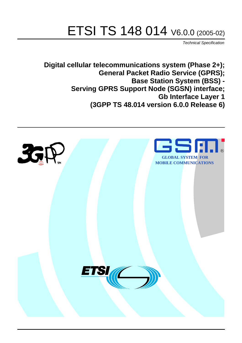# ETSI TS 148 014 V6.0.0 (2005-02)

Technical Specification

**Digital cellular telecommunications system (Phase 2+); General Packet Radio Service (GPRS); Base Station System (BSS) - Serving GPRS Support Node (SGSN) interface; Gb Interface Layer 1 (3GPP TS 48.014 version 6.0.0 Release 6)**

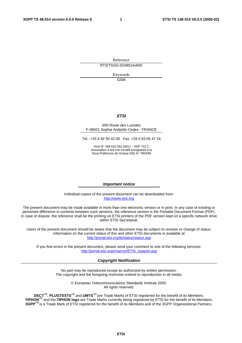Reference RTS/TSGG-0248014v600

> Keywords GSM

#### **ETSI**

#### 650 Route des Lucioles F-06921 Sophia Antipolis Cedex - FRANCE

Tel.: +33 4 92 94 42 00 Fax: +33 4 93 65 47 16

Siret N° 348 623 562 00017 - NAF 742 C Association à but non lucratif enregistrée à la Sous-Préfecture de Grasse (06) N° 7803/88

#### **Important notice**

Individual copies of the present document can be downloaded from: [http://www.etsi.org](http://www.etsi.org/)

The present document may be made available in more than one electronic version or in print. In any case of existing or perceived difference in contents between such versions, the reference version is the Portable Document Format (PDF). In case of dispute, the reference shall be the printing on ETSI printers of the PDF version kept on a specific network drive within ETSI Secretariat.

Users of the present document should be aware that the document may be subject to revision or change of status. Information on the current status of this and other ETSI documents is available at <http://portal.etsi.org/tb/status/status.asp>

If you find errors in the present document, please send your comment to one of the following services: [http://portal.etsi.org/chaircor/ETSI\\_support.asp](http://portal.etsi.org/chaircor/ETSI_support.asp)

#### **Copyright Notification**

No part may be reproduced except as authorized by written permission. The copyright and the foregoing restriction extend to reproduction in all media.

> © European Telecommunications Standards Institute 2005. All rights reserved.

**DECT**TM, **PLUGTESTS**TM and **UMTS**TM are Trade Marks of ETSI registered for the benefit of its Members. **TIPHON**TM and the **TIPHON logo** are Trade Marks currently being registered by ETSI for the benefit of its Members. **3GPP**TM is a Trade Mark of ETSI registered for the benefit of its Members and of the 3GPP Organizational Partners.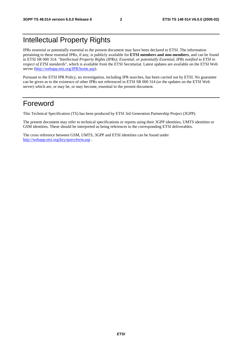# Intellectual Property Rights

IPRs essential or potentially essential to the present document may have been declared to ETSI. The information pertaining to these essential IPRs, if any, is publicly available for **ETSI members and non-members**, and can be found in ETSI SR 000 314: *"Intellectual Property Rights (IPRs); Essential, or potentially Essential, IPRs notified to ETSI in respect of ETSI standards"*, which is available from the ETSI Secretariat. Latest updates are available on the ETSI Web server ([http://webapp.etsi.org/IPR/home.asp\)](http://webapp.etsi.org/IPR/home.asp).

Pursuant to the ETSI IPR Policy, no investigation, including IPR searches, has been carried out by ETSI. No guarantee can be given as to the existence of other IPRs not referenced in ETSI SR 000 314 (or the updates on the ETSI Web server) which are, or may be, or may become, essential to the present document.

# Foreword

This Technical Specification (TS) has been produced by ETSI 3rd Generation Partnership Project (3GPP).

The present document may refer to technical specifications or reports using their 3GPP identities, UMTS identities or GSM identities. These should be interpreted as being references to the corresponding ETSI deliverables.

The cross reference between GSM, UMTS, 3GPP and ETSI identities can be found under <http://webapp.etsi.org/key/queryform.asp>.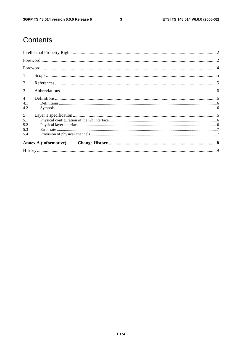$\mathbf{3}$ 

# Contents

| -1             |                               |  |  |  |  |
|----------------|-------------------------------|--|--|--|--|
| $\overline{2}$ |                               |  |  |  |  |
| 3              |                               |  |  |  |  |
| $\overline{4}$ |                               |  |  |  |  |
| 4.1            |                               |  |  |  |  |
| 4.2            |                               |  |  |  |  |
| 5              |                               |  |  |  |  |
| 5.1            |                               |  |  |  |  |
| 5.2            |                               |  |  |  |  |
| 5.3            |                               |  |  |  |  |
| 5.4            |                               |  |  |  |  |
|                | <b>Annex A (informative):</b> |  |  |  |  |
|                |                               |  |  |  |  |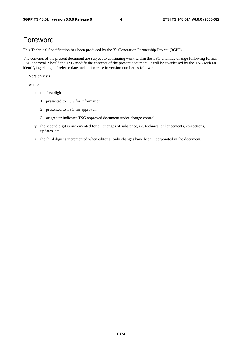# Foreword

This Technical Specification has been produced by the 3<sup>rd</sup> Generation Partnership Project (3GPP).

The contents of the present document are subject to continuing work within the TSG and may change following formal TSG approval. Should the TSG modify the contents of the present document, it will be re-released by the TSG with an identifying change of release date and an increase in version number as follows:

Version x.y.z

where:

- x the first digit:
	- 1 presented to TSG for information;
	- 2 presented to TSG for approval;
	- 3 or greater indicates TSG approved document under change control.
- y the second digit is incremented for all changes of substance, i.e. technical enhancements, corrections, updates, etc.
- z the third digit is incremented when editorial only changes have been incorporated in the document.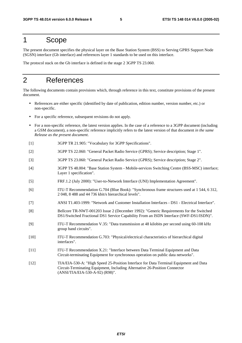## 1 Scope

The present document specifies the physical layer on the Base Station System (BSS) to Serving GPRS Support Node (SGSN) interface (Gb interface) and references layer 1 standards to be used on this interface.

The protocol stack on the Gb interface is defined in the stage 2 3GPP TS 23.060.

# 2 References

The following documents contain provisions which, through reference in this text, constitute provisions of the present document.

- References are either specific (identified by date of publication, edition number, version number, etc.) or non-specific.
- For a specific reference, subsequent revisions do not apply.
- For a non-specific reference, the latest version applies. In the case of a reference to a 3GPP document (including a GSM document), a non-specific reference implicitly refers to the latest version of that document *in the same Release as the present document*.
- [1] 3GPP TR 21.905: "Vocabulary for 3GPP Specifications".
- [2] 3GPP TS 22.060: "General Packet Radio Service (GPRS); Service description; Stage 1".
- [3] 3GPP TS 23.060: "General Packet Radio Service (GPRS); Service description; Stage 2".
- [4] 3GPP TS 48.004: "Base Station System Mobile-services Switching Centre (BSS-MSC) interface; Layer 1 specification".
- [5] FRF.1.2 (July 2000): "User-to-Network Interface (UNI) Implementation Agreement".
- [6] ITU-T Recommendation G.704 (Blue Book): "Synchronous frame structures used at 1 544, 6 312, 2 048, 8 488 and 44 736 kbit/s hierarchical levels".
- [7] ANSI T1.403-1999: "Network and Customer Installation Interfaces DS1 Electrical Interface".
- [8] Bellcore TR-NWT-001203 Issue 2 (December 1992): "Generic Requirements for the Switched DS1/Switched Fractional DS1 Service Capability From an ISDN Interface (SWF-DS1/ISDN)".
- [9] ITU-T Recommendation V.35: "Data transmission at 48 kilobits per second using 60-108 kHz group band circuits".
- [10] ITU-T Recommendation G.703: "Physical/electrical characteristics of hierarchical digital interfaces".
- [11] ITU-T Recommendation X.21: "Interface between Data Terminal Equipment and Data Circuit-terminating Equipment for synchronous operation on public data networks".
- [12] TIA/EIA-530-A: "High Speed 25-Position Interface for Data Terminal Equipment and Data Circuit-Terminating Equipment, Including Alternative 26-Position Connector (ANSI/TIA/EIA-530-A-92) (R98)".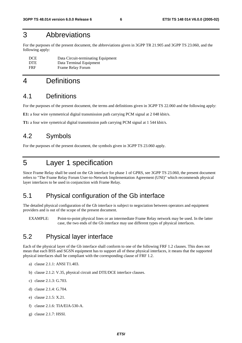# 3 Abbreviations

For the purposes of the present document, the abbreviations given in 3GPP TR 21.905 and 3GPP TS 23.060, and the following apply:

| <b>DCE</b> | Data Circuit-terminating Equipment |
|------------|------------------------------------|
| <b>DTE</b> | Data Terminal Equipment            |
| <b>FRF</b> | Frame Relay Forum                  |

# 4 Definitions

### 4.1 Definitions

For the purposes of the present document, the terms and definitions given in 3GPP TS 22.060 and the following apply:

**E1:** a four wire symmetrical digital transmission path carrying PCM signal at 2 048 kbit/s.

**T1:** a four wire symetrical digital transmission path carrying PCM signal at 1 544 kbit/s.

### 4.2 Symbols

For the purposes of the present document, the symbols given in 3GPP TS 23.060 apply.

# 5 Layer 1 specification

Since Frame Relay shall be used on the Gb interface for phase 1 of GPRS, see 3GPP TS 23.060, the present document refers to "The Frame Relay Forum User-to-Network Implementation Agreement (UNI)" which recommends physical layer interfaces to be used in conjunction with Frame Relay.

### 5.1 Physical configuration of the Gb interface

The detailed physical configuration of the Gb interface is subject to negociation between operators and equipment providers and is out of the scope of the present document.

EXAMPLE: Point-to-point physical lines or an intermediate Frame Relay network may be used. In the latter case, the two ends of the Gb interface may use different types of physical interfaces.

### 5.2 Physical layer interface

Each of the physical layer of the Gb interface shall conform to one of the following FRF 1.2 clauses. This does not mean that each BSS and SGSN equipment has to support all of these physical interfaces, it means that the supported physical interfaces shall be compliant with the corresponding clause of FRF 1.2.

- a) clause 2.1.1: ANSI T1.403.
- b) clause 2.1.2: V.35, physical circuit and DTE/DCE interface clauses.
- c) clause 2.1.3: G.703.
- d) clause 2.1.4: G.704.
- e) clause 2.1.5: X.21.
- f) clause 2.1.6: TIA/EIA-530-A.
- g) clause 2.1.7: HSSI.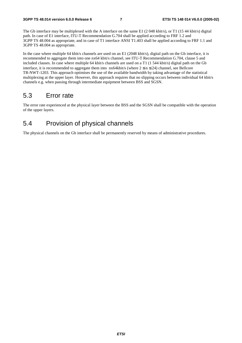The Gb interface may be multiplexed with the A interface on the same E1 (2048 kbit/s), or T1 (1544 kbit/s) digital path. In case of E1 interface, ITU-T Recommendation G.704 shall be applied according to FRF 1.2 and 3GPP TS 48.004 as appropriate, and in case of T1 interface ANSI T1.403 shall be applied according to FRF 1.1 and 3GPP TS 48.004 as appropriate.

In the case where multiple 64 kbit/s channels are used on an E1 (2048 kbit/s), digital path on the Gb interface, it is recommended to aggregate them into one nx64 kbit/s channel, see ITU-T Recommendation G.704, clause 5 and included clauses. In case where multiple 64 kbit/s channels are used on a T1 (1 544 kbit/s) digital path on the Gb interface, it is recommended to aggregate them into  $nx64kbit/s$  (where  $2 \le n \le 24$ ) channel, see Bellcore TR-NWT-1203. This approach optimises the use of the available bandwidth by taking advantage of the statistical multiplexing at the upper layer. However, this approach requires that no slipping occurs between individual 64 kbit/s channels e.g. when passing through intermediate equipment between BSS and SGSN.

# 5.3 Error rate

The error rate experienced at the physical layer between the BSS and the SGSN shall be compatible with the operation of the upper layers.

# 5.4 Provision of physical channels

The physical channels on the Gb interface shall be permanently reserved by means of administrative procedures.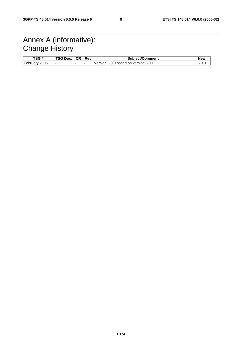# Annex A (informative): Change History

| TSG #            | TSG Doc. | <b>CR</b> | Rev | <b>Subject/Comment</b>               | New   |
|------------------|----------|-----------|-----|--------------------------------------|-------|
| February<br>2005 |          |           |     | Version 6.0.0 based on version 5.0.1 | 0.U.J |